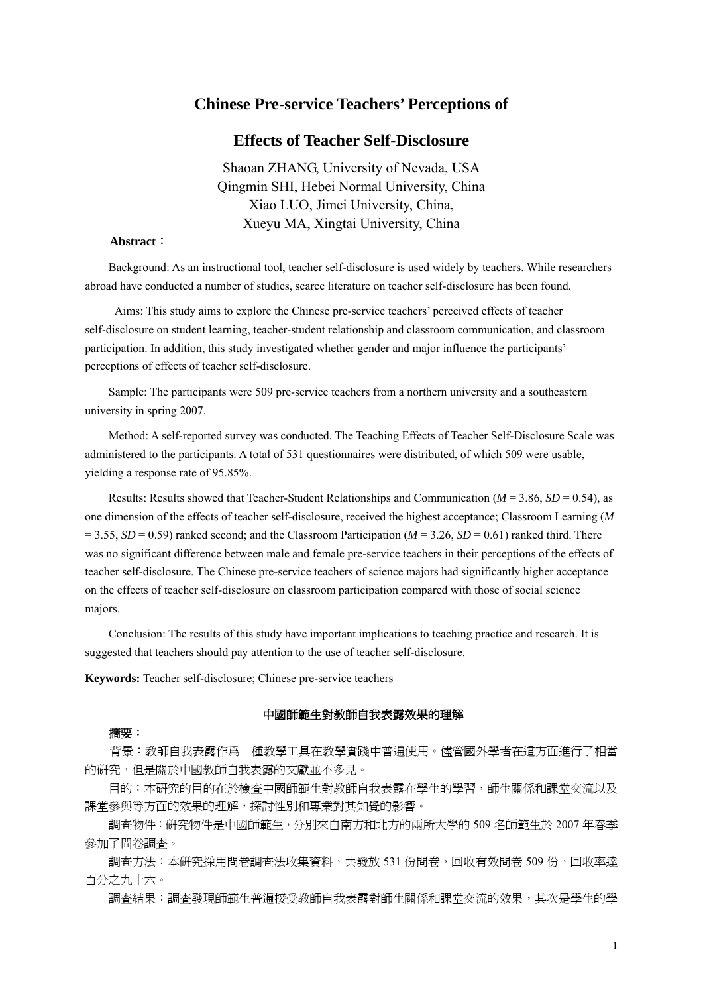# **Chinese Pre-service Teachers' Perceptions of**

# **Effects of Teacher Self-Disclosure**

Shaoan ZHANG, University of Nevada, USA Qingmin SHI, Hebei Normal University, China Xiao LUO, Jimei University, China, Xueyu MA, Xingtai University, China

#### **Abstract**:

Background: As an instructional tool, teacher self-disclosure is used widely by teachers. While researchers abroad have conducted a number of studies, scarce literature on teacher self-disclosure has been found.

Aims: This study aims to explore the Chinese pre-service teachers' perceived effects of teacher self-disclosure on student learning, teacher-student relationship and classroom communication, and classroom participation. In addition, this study investigated whether gender and major influence the participants' perceptions of effects of teacher self-disclosure.

Sample: The participants were 509 pre-service teachers from a northern university and a southeastern university in spring 2007.

Method: A self-reported survey was conducted. The Teaching Effects of Teacher Self-Disclosure Scale was administered to the participants. A total of 531 questionnaires were distributed, of which 509 were usable, yielding a response rate of 95.85%.

Results: Results showed that Teacher-Student Relationships and Communication ( $M = 3.86$ ,  $SD = 0.54$ ), as one dimension of the effects of teacher self-disclosure, received the highest acceptance; Classroom Learning (*M*  $= 3.55$ , *SD* = 0.59) ranked second; and the Classroom Participation ( $M = 3.26$ , *SD* = 0.61) ranked third. There was no significant difference between male and female pre-service teachers in their perceptions of the effects of teacher self-disclosure. The Chinese pre-service teachers of science majors had significantly higher acceptance on the effects of teacher self-disclosure on classroom participation compared with those of social science majors.

Conclusion: The results of this study have important implications to teaching practice and research. It is suggested that teachers should pay attention to the use of teacher self-disclosure.

**Keywords:** Teacher self-disclosure; Chinese pre-service teachers

#### 中國師範生對教師自我表露效果的理解

#### 摘要:

背景:教師自我表露作爲一種教學工具在教學實踐中普遍使用。儘管國外學者在這方面進行了相當 的研究,但是關於中國教師自我表露的文獻並不多見。

目的:本研究的目的在於檢查中國師範生對教師自我表露在學生的學習,師生關係和課堂交流以及 課堂參與等方面的效果的理解,探討性別和專業對其知覺的影響。

調查物件:研究物件是中國師範生,分別來自南方和北方的兩所大學的 509 名師範生於 2007 年春季 參加了問卷調查。

調查方法:本研究採用問卷調查法收集資料,共發放 531 份問卷,回收有效問卷 509 份,回收率達 百分之九十六。

調査結果:調査發現師範生普遍接受教師自我表露對師生關係和課堂交流的效果,其次是學生的學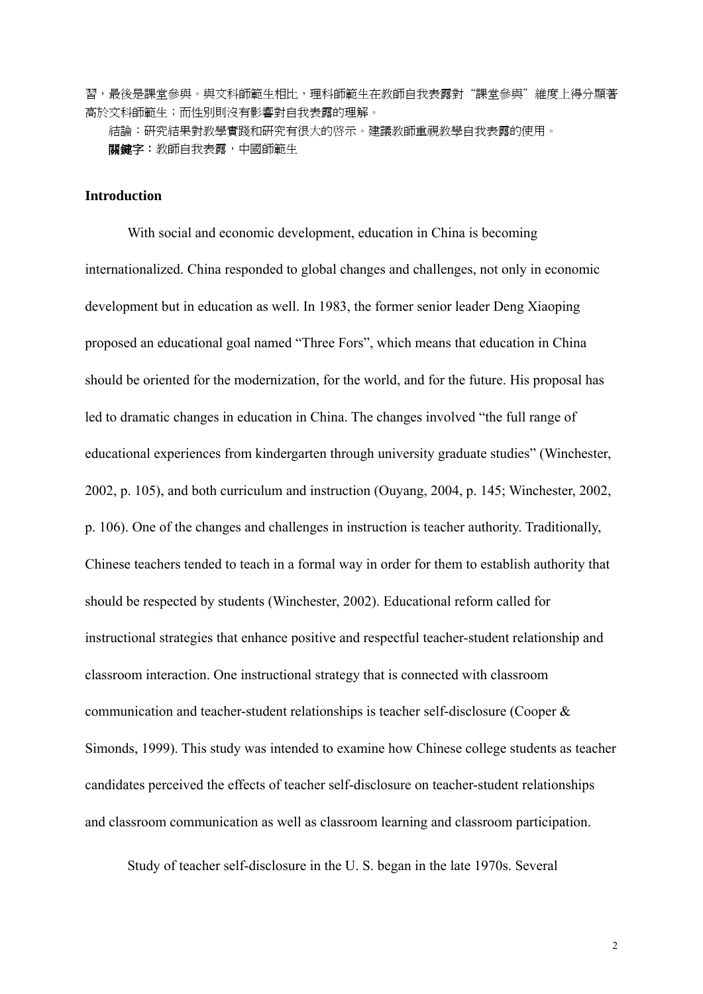習,最後是課堂參與。與文科師範生相比,理科師範生在教師自我表露對"課堂參與"維度上得分顯著 高於文科師範生;而性別則沒有影響對自我表露的理解。

結論:研究結果對教學實踐和研究有很大的啓示。建議教師重視教學自我表露的使用。 關鍵字:教師自我表露,中國師範生

### **Introduction**

With social and economic development, education in China is becoming internationalized. China responded to global changes and challenges, not only in economic development but in education as well. In 1983, the former senior leader Deng Xiaoping proposed an educational goal named "Three Fors", which means that education in China should be oriented for the modernization, for the world, and for the future. His proposal has led to dramatic changes in education in China. The changes involved "the full range of educational experiences from kindergarten through university graduate studies" (Winchester, 2002, p. 105), and both curriculum and instruction (Ouyang, 2004, p. 145; Winchester, 2002, p. 106). One of the changes and challenges in instruction is teacher authority. Traditionally, Chinese teachers tended to teach in a formal way in order for them to establish authority that should be respected by students (Winchester, 2002). Educational reform called for instructional strategies that enhance positive and respectful teacher-student relationship and classroom interaction. One instructional strategy that is connected with classroom communication and teacher-student relationships is teacher self-disclosure (Cooper & Simonds, 1999). This study was intended to examine how Chinese college students as teacher candidates perceived the effects of teacher self-disclosure on teacher-student relationships and classroom communication as well as classroom learning and classroom participation.

Study of teacher self-disclosure in the U. S. began in the late 1970s. Several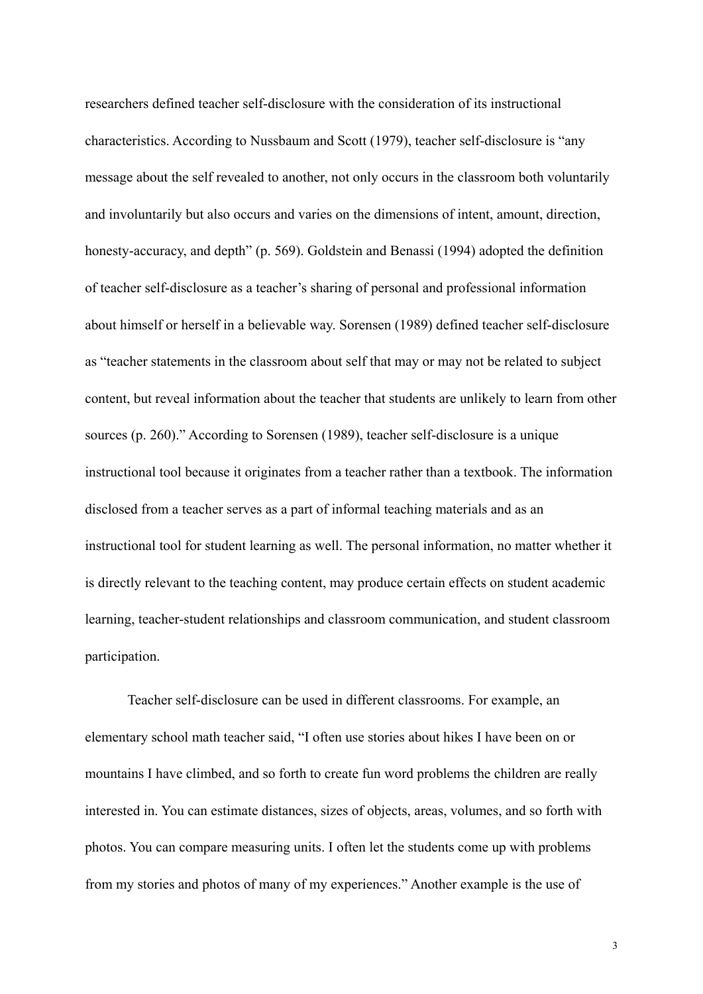researchers defined teacher self-disclosure with the consideration of its instructional characteristics. According to Nussbaum and Scott (1979), teacher self-disclosure is "any message about the self revealed to another, not only occurs in the classroom both voluntarily and involuntarily but also occurs and varies on the dimensions of intent, amount, direction, honesty-accuracy, and depth" (p. 569). Goldstein and Benassi (1994) adopted the definition of teacher self-disclosure as a teacher's sharing of personal and professional information about himself or herself in a believable way. Sorensen (1989) defined teacher self-disclosure as "teacher statements in the classroom about self that may or may not be related to subject content, but reveal information about the teacher that students are unlikely to learn from other sources (p. 260)." According to Sorensen (1989), teacher self-disclosure is a unique instructional tool because it originates from a teacher rather than a textbook. The information disclosed from a teacher serves as a part of informal teaching materials and as an instructional tool for student learning as well. The personal information, no matter whether it is directly relevant to the teaching content, may produce certain effects on student academic learning, teacher-student relationships and classroom communication, and student classroom participation.

Teacher self-disclosure can be used in different classrooms. For example, an elementary school math teacher said, "I often use stories about hikes I have been on or mountains I have climbed, and so forth to create fun word problems the children are really interested in. You can estimate distances, sizes of objects, areas, volumes, and so forth with photos. You can compare measuring units. I often let the students come up with problems from my stories and photos of many of my experiences." Another example is the use of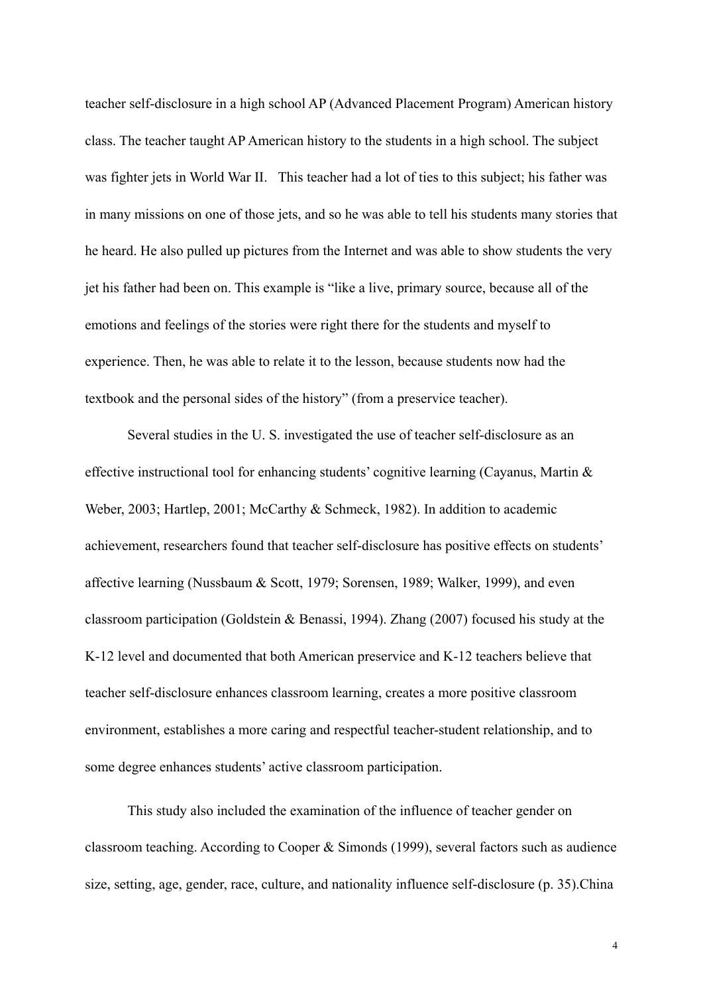teacher self-disclosure in a high school AP (Advanced Placement Program) American history class. The teacher taught AP American history to the students in a high school. The subject was fighter jets in World War II. This teacher had a lot of ties to this subject; his father was in many missions on one of those jets, and so he was able to tell his students many stories that he heard. He also pulled up pictures from the Internet and was able to show students the very jet his father had been on. This example is "like a live, primary source, because all of the emotions and feelings of the stories were right there for the students and myself to experience. Then, he was able to relate it to the lesson, because students now had the textbook and the personal sides of the history" (from a preservice teacher).

Several studies in the U. S. investigated the use of teacher self-disclosure as an effective instructional tool for enhancing students' cognitive learning (Cayanus, Martin & Weber, 2003; Hartlep, 2001; McCarthy & Schmeck, 1982). In addition to academic achievement, researchers found that teacher self-disclosure has positive effects on students' affective learning (Nussbaum & Scott, 1979; Sorensen, 1989; Walker, 1999), and even classroom participation (Goldstein & Benassi, 1994). Zhang (2007) focused his study at the K-12 level and documented that both American preservice and K-12 teachers believe that teacher self-disclosure enhances classroom learning, creates a more positive classroom environment, establishes a more caring and respectful teacher-student relationship, and to some degree enhances students' active classroom participation.

This study also included the examination of the influence of teacher gender on classroom teaching. According to Cooper & Simonds (1999), several factors such as audience size, setting, age, gender, race, culture, and nationality influence self-disclosure (p. 35).China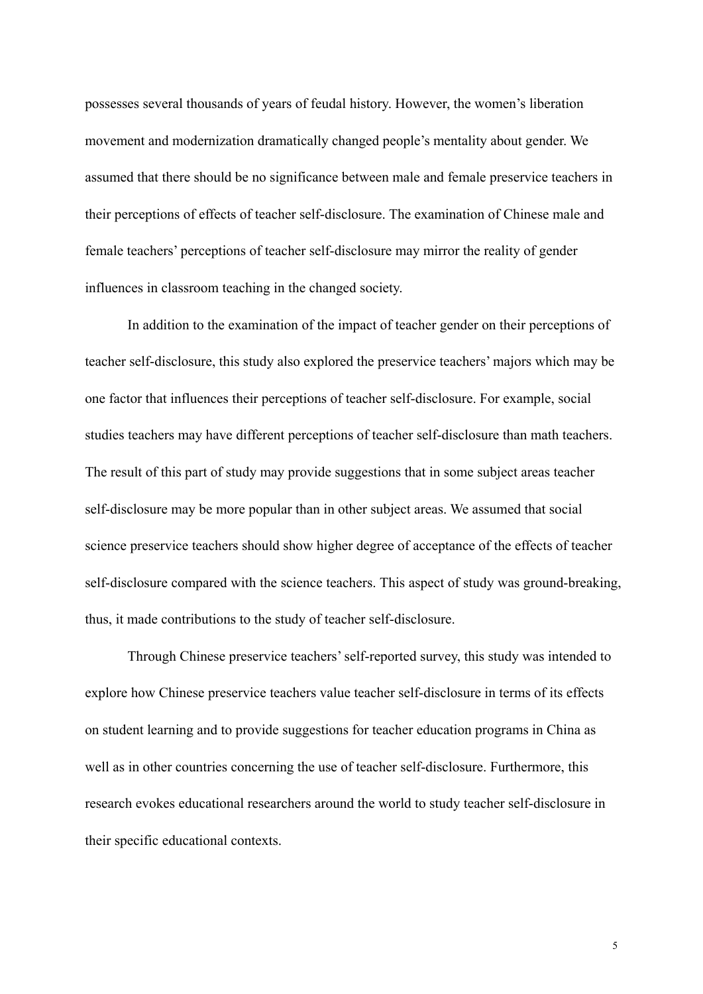possesses several thousands of years of feudal history. However, the women's liberation movement and modernization dramatically changed people's mentality about gender. We assumed that there should be no significance between male and female preservice teachers in their perceptions of effects of teacher self-disclosure. The examination of Chinese male and female teachers' perceptions of teacher self-disclosure may mirror the reality of gender influences in classroom teaching in the changed society.

In addition to the examination of the impact of teacher gender on their perceptions of teacher self-disclosure, this study also explored the preservice teachers' majors which may be one factor that influences their perceptions of teacher self-disclosure. For example, social studies teachers may have different perceptions of teacher self-disclosure than math teachers. The result of this part of study may provide suggestions that in some subject areas teacher self-disclosure may be more popular than in other subject areas. We assumed that social science preservice teachers should show higher degree of acceptance of the effects of teacher self-disclosure compared with the science teachers. This aspect of study was ground-breaking, thus, it made contributions to the study of teacher self-disclosure.

Through Chinese preservice teachers' self-reported survey, this study was intended to explore how Chinese preservice teachers value teacher self-disclosure in terms of its effects on student learning and to provide suggestions for teacher education programs in China as well as in other countries concerning the use of teacher self-disclosure. Furthermore, this research evokes educational researchers around the world to study teacher self-disclosure in their specific educational contexts.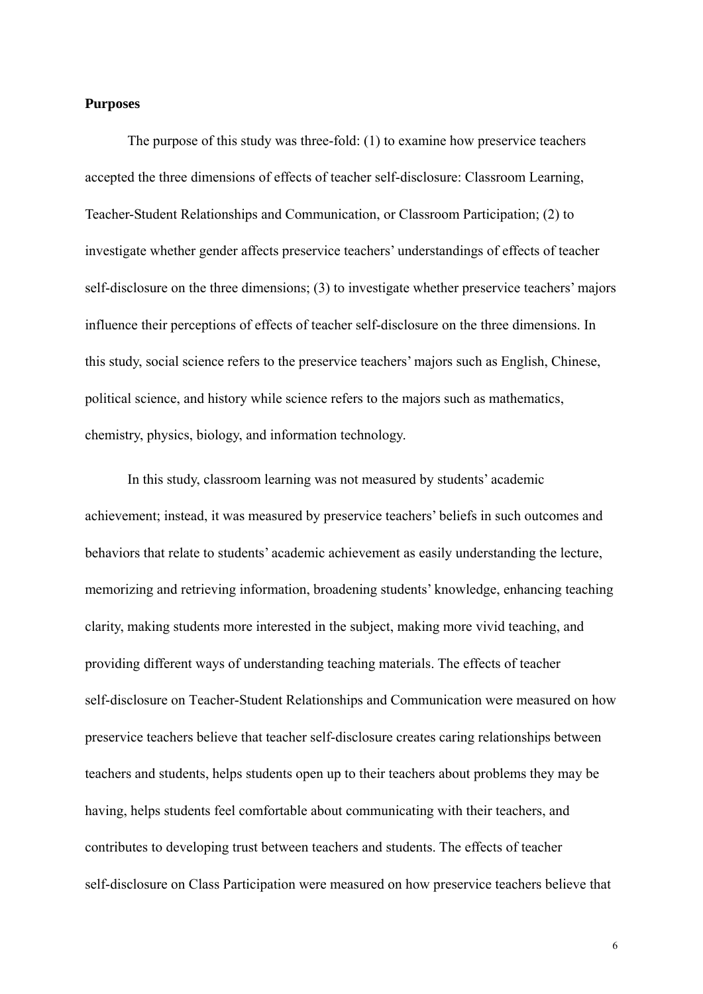### **Purposes**

The purpose of this study was three-fold: (1) to examine how preservice teachers accepted the three dimensions of effects of teacher self-disclosure: Classroom Learning, Teacher-Student Relationships and Communication, or Classroom Participation; (2) to investigate whether gender affects preservice teachers' understandings of effects of teacher self-disclosure on the three dimensions; (3) to investigate whether preservice teachers' majors influence their perceptions of effects of teacher self-disclosure on the three dimensions. In this study, social science refers to the preservice teachers' majors such as English, Chinese, political science, and history while science refers to the majors such as mathematics, chemistry, physics, biology, and information technology.

In this study, classroom learning was not measured by students' academic achievement; instead, it was measured by preservice teachers' beliefs in such outcomes and behaviors that relate to students' academic achievement as easily understanding the lecture, memorizing and retrieving information, broadening students' knowledge, enhancing teaching clarity, making students more interested in the subject, making more vivid teaching, and providing different ways of understanding teaching materials. The effects of teacher self-disclosure on Teacher-Student Relationships and Communication were measured on how preservice teachers believe that teacher self-disclosure creates caring relationships between teachers and students, helps students open up to their teachers about problems they may be having, helps students feel comfortable about communicating with their teachers, and contributes to developing trust between teachers and students. The effects of teacher self-disclosure on Class Participation were measured on how preservice teachers believe that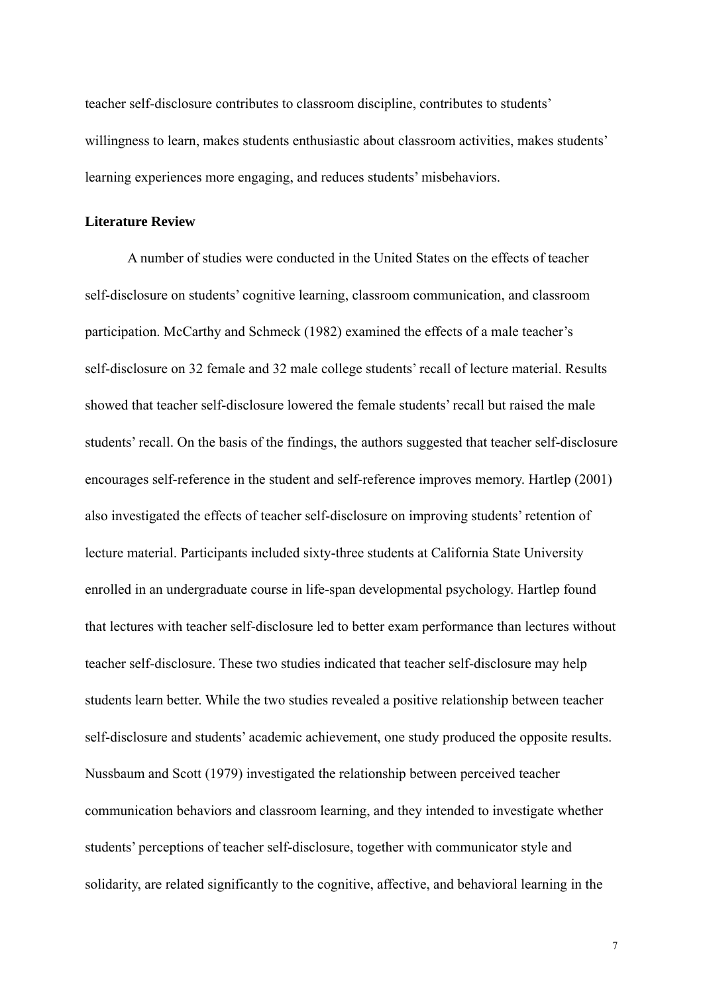teacher self-disclosure contributes to classroom discipline, contributes to students' willingness to learn, makes students enthusiastic about classroom activities, makes students' learning experiences more engaging, and reduces students' misbehaviors.

### **Literature Review**

A number of studies were conducted in the United States on the effects of teacher self-disclosure on students' cognitive learning, classroom communication, and classroom participation. McCarthy and Schmeck (1982) examined the effects of a male teacher's self-disclosure on 32 female and 32 male college students' recall of lecture material. Results showed that teacher self-disclosure lowered the female students' recall but raised the male students' recall. On the basis of the findings, the authors suggested that teacher self-disclosure encourages self-reference in the student and self-reference improves memory. Hartlep (2001) also investigated the effects of teacher self-disclosure on improving students' retention of lecture material. Participants included sixty-three students at California State University enrolled in an undergraduate course in life-span developmental psychology. Hartlep found that lectures with teacher self-disclosure led to better exam performance than lectures without teacher self-disclosure. These two studies indicated that teacher self-disclosure may help students learn better. While the two studies revealed a positive relationship between teacher self-disclosure and students' academic achievement, one study produced the opposite results. Nussbaum and Scott (1979) investigated the relationship between perceived teacher communication behaviors and classroom learning, and they intended to investigate whether students' perceptions of teacher self-disclosure, together with communicator style and solidarity, are related significantly to the cognitive, affective, and behavioral learning in the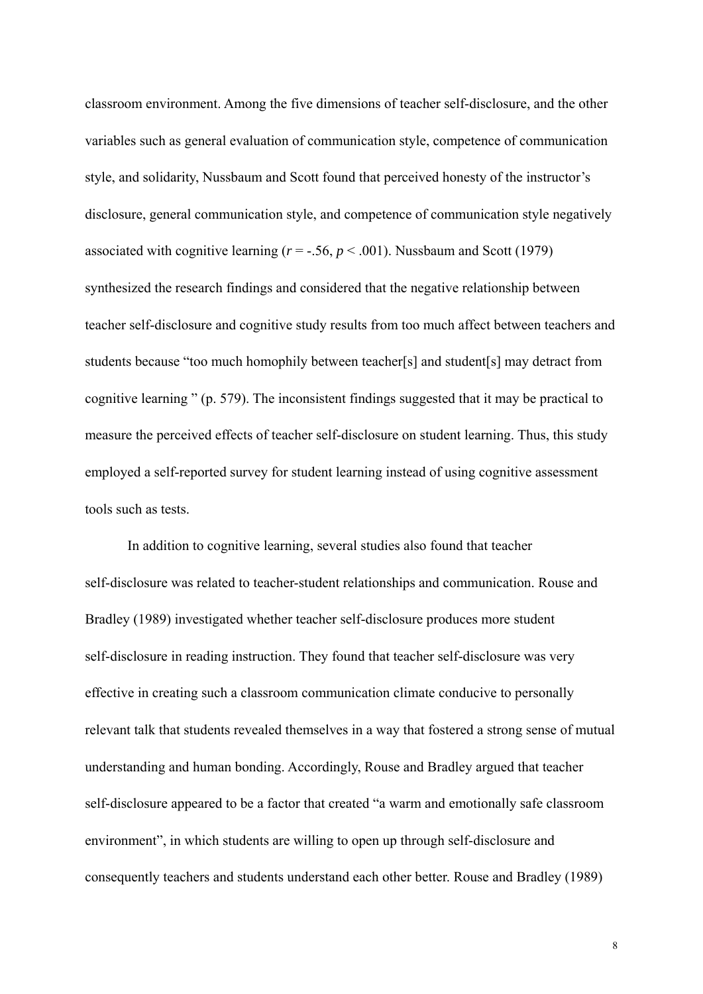classroom environment. Among the five dimensions of teacher self-disclosure, and the other variables such as general evaluation of communication style, competence of communication style, and solidarity, Nussbaum and Scott found that perceived honesty of the instructor's disclosure, general communication style, and competence of communication style negatively associated with cognitive learning  $(r = -.56, p < .001)$ . Nussbaum and Scott (1979) synthesized the research findings and considered that the negative relationship between teacher self-disclosure and cognitive study results from too much affect between teachers and students because "too much homophily between teacher[s] and student[s] may detract from cognitive learning " (p. 579). The inconsistent findings suggested that it may be practical to measure the perceived effects of teacher self-disclosure on student learning. Thus, this study employed a self-reported survey for student learning instead of using cognitive assessment tools such as tests.

In addition to cognitive learning, several studies also found that teacher self-disclosure was related to teacher-student relationships and communication. Rouse and Bradley (1989) investigated whether teacher self-disclosure produces more student self-disclosure in reading instruction. They found that teacher self-disclosure was very effective in creating such a classroom communication climate conducive to personally relevant talk that students revealed themselves in a way that fostered a strong sense of mutual understanding and human bonding. Accordingly, Rouse and Bradley argued that teacher self-disclosure appeared to be a factor that created "a warm and emotionally safe classroom environment", in which students are willing to open up through self-disclosure and consequently teachers and students understand each other better. Rouse and Bradley (1989)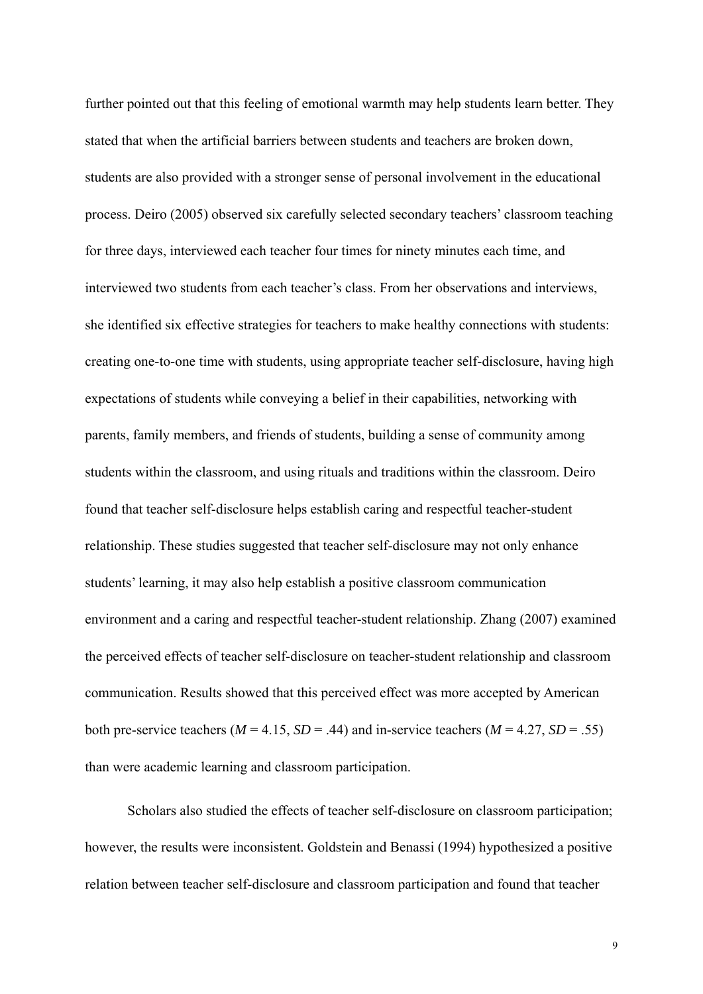further pointed out that this feeling of emotional warmth may help students learn better. They stated that when the artificial barriers between students and teachers are broken down, students are also provided with a stronger sense of personal involvement in the educational process. Deiro (2005) observed six carefully selected secondary teachers' classroom teaching for three days, interviewed each teacher four times for ninety minutes each time, and interviewed two students from each teacher's class. From her observations and interviews, she identified six effective strategies for teachers to make healthy connections with students: creating one-to-one time with students, using appropriate teacher self-disclosure, having high expectations of students while conveying a belief in their capabilities, networking with parents, family members, and friends of students, building a sense of community among students within the classroom, and using rituals and traditions within the classroom. Deiro found that teacher self-disclosure helps establish caring and respectful teacher-student relationship. These studies suggested that teacher self-disclosure may not only enhance students' learning, it may also help establish a positive classroom communication environment and a caring and respectful teacher-student relationship. Zhang (2007) examined the perceived effects of teacher self-disclosure on teacher-student relationship and classroom communication. Results showed that this perceived effect was more accepted by American both pre-service teachers ( $M = 4.15$ ,  $SD = .44$ ) and in-service teachers ( $M = 4.27$ ,  $SD = .55$ ) than were academic learning and classroom participation.

Scholars also studied the effects of teacher self-disclosure on classroom participation; however, the results were inconsistent. Goldstein and Benassi (1994) hypothesized a positive relation between teacher self-disclosure and classroom participation and found that teacher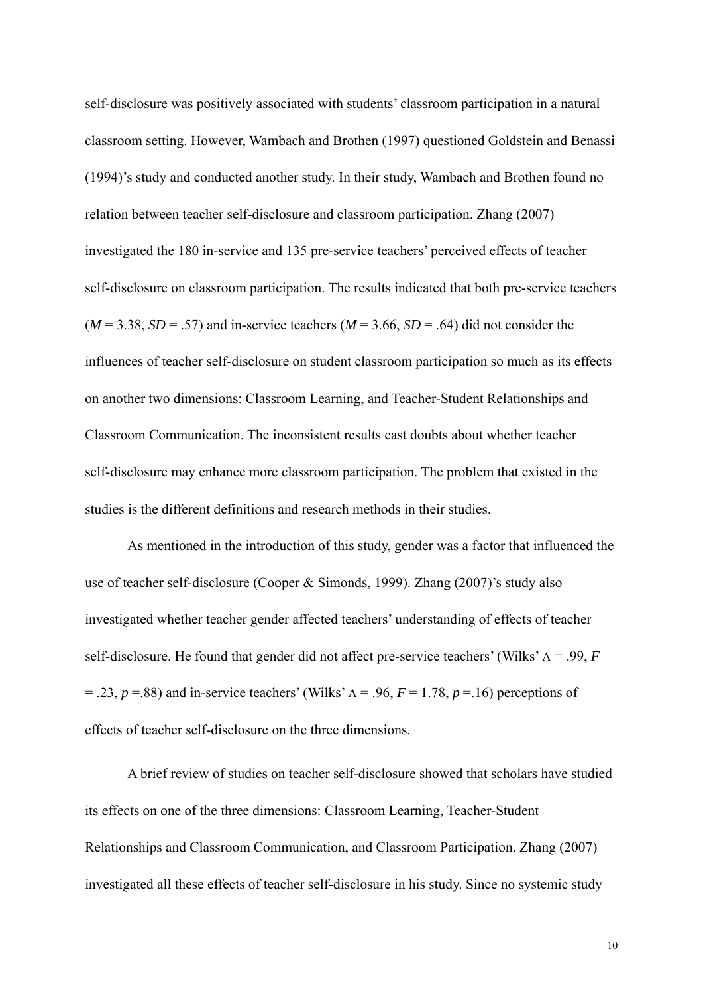self-disclosure was positively associated with students' classroom participation in a natural classroom setting. However, Wambach and Brothen (1997) questioned Goldstein and Benassi (1994)'s study and conducted another study. In their study, Wambach and Brothen found no relation between teacher self-disclosure and classroom participation. Zhang (2007) investigated the 180 in-service and 135 pre-service teachers' perceived effects of teacher self-disclosure on classroom participation. The results indicated that both pre-service teachers  $(M = 3.38, SD = .57)$  and in-service teachers  $(M = 3.66, SD = .64)$  did not consider the influences of teacher self-disclosure on student classroom participation so much as its effects on another two dimensions: Classroom Learning, and Teacher-Student Relationships and Classroom Communication. The inconsistent results cast doubts about whether teacher self-disclosure may enhance more classroom participation. The problem that existed in the studies is the different definitions and research methods in their studies.

As mentioned in the introduction of this study, gender was a factor that influenced the use of teacher self-disclosure (Cooper & Simonds, 1999). Zhang (2007)'s study also investigated whether teacher gender affected teachers' understanding of effects of teacher self-disclosure. He found that gender did not affect pre-service teachers' (Wilks' Λ = .99, *F*  $= .23$ ,  $p = .88$ ) and in-service teachers' (Wilks'  $\Lambda = .96$ ,  $F = 1.78$ ,  $p = .16$ ) perceptions of effects of teacher self-disclosure on the three dimensions.

A brief review of studies on teacher self-disclosure showed that scholars have studied its effects on one of the three dimensions: Classroom Learning, Teacher-Student Relationships and Classroom Communication, and Classroom Participation. Zhang (2007) investigated all these effects of teacher self-disclosure in his study. Since no systemic study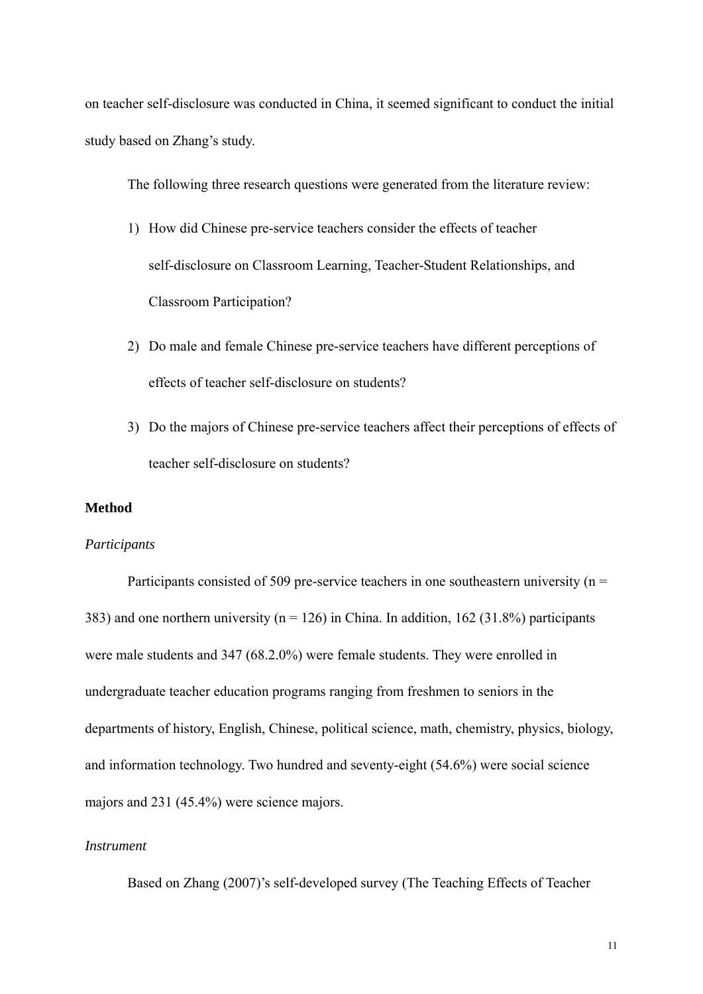on teacher self-disclosure was conducted in China, it seemed significant to conduct the initial study based on Zhang's study.

The following three research questions were generated from the literature review:

- 1) How did Chinese pre-service teachers consider the effects of teacher self-disclosure on Classroom Learning, Teacher-Student Relationships, and Classroom Participation?
- 2) Do male and female Chinese pre-service teachers have different perceptions of effects of teacher self-disclosure on students?
- 3) Do the majors of Chinese pre-service teachers affect their perceptions of effects of teacher self-disclosure on students?

### **Method**

### *Participants*

Participants consisted of 509 pre-service teachers in one southeastern university ( $n =$ 383) and one northern university ( $n = 126$ ) in China. In addition, 162 (31.8%) participants were male students and 347 (68.2.0%) were female students. They were enrolled in undergraduate teacher education programs ranging from freshmen to seniors in the departments of history, English, Chinese, political science, math, chemistry, physics, biology, and information technology. Two hundred and seventy-eight (54.6%) were social science majors and 231 (45.4%) were science majors.

# *Instrument*

Based on Zhang (2007)'s self-developed survey (The Teaching Effects of Teacher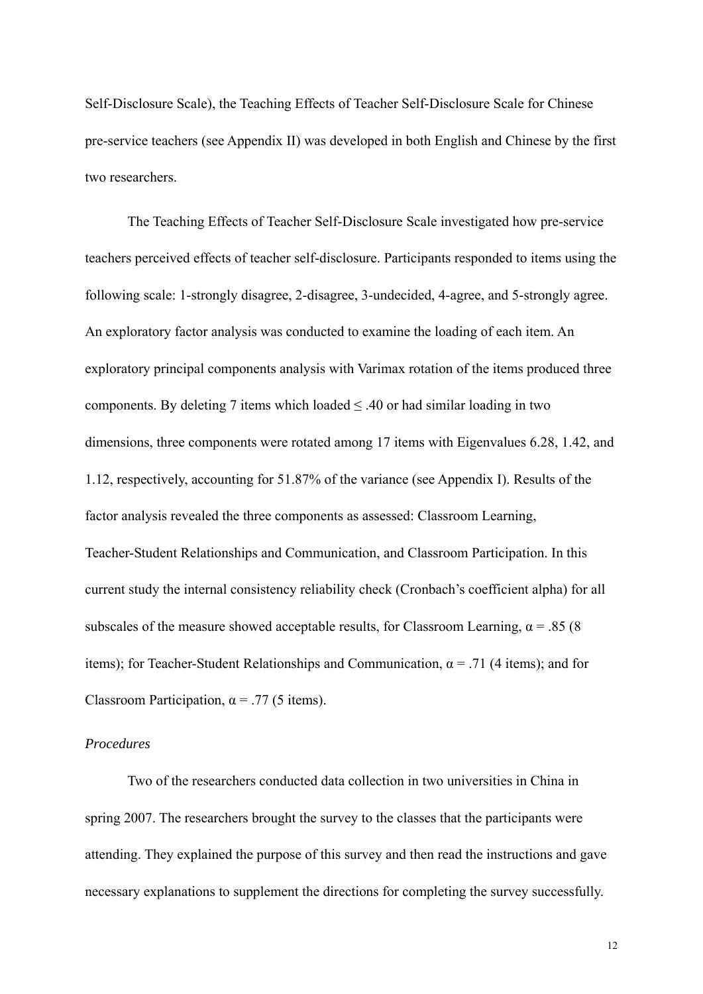Self-Disclosure Scale), the Teaching Effects of Teacher Self-Disclosure Scale for Chinese pre-service teachers (see Appendix II) was developed in both English and Chinese by the first two researchers.

The Teaching Effects of Teacher Self-Disclosure Scale investigated how pre-service teachers perceived effects of teacher self-disclosure. Participants responded to items using the following scale: 1-strongly disagree, 2-disagree, 3-undecided, 4-agree, and 5-strongly agree. An exploratory factor analysis was conducted to examine the loading of each item. An exploratory principal components analysis with Varimax rotation of the items produced three components. By deleting 7 items which loaded  $\leq$  .40 or had similar loading in two dimensions, three components were rotated among 17 items with Eigenvalues 6.28, 1.42, and 1.12, respectively, accounting for 51.87% of the variance (see Appendix I). Results of the factor analysis revealed the three components as assessed: Classroom Learning, Teacher-Student Relationships and Communication, and Classroom Participation. In this current study the internal consistency reliability check (Cronbach's coefficient alpha) for all subscales of the measure showed acceptable results, for Classroom Learning,  $\alpha$  = .85 (8) items); for Teacher-Student Relationships and Communication,  $\alpha$  = .71 (4 items); and for Classroom Participation,  $\alpha$  = .77 (5 items).

### *Procedures*

Two of the researchers conducted data collection in two universities in China in spring 2007. The researchers brought the survey to the classes that the participants were attending. They explained the purpose of this survey and then read the instructions and gave necessary explanations to supplement the directions for completing the survey successfully.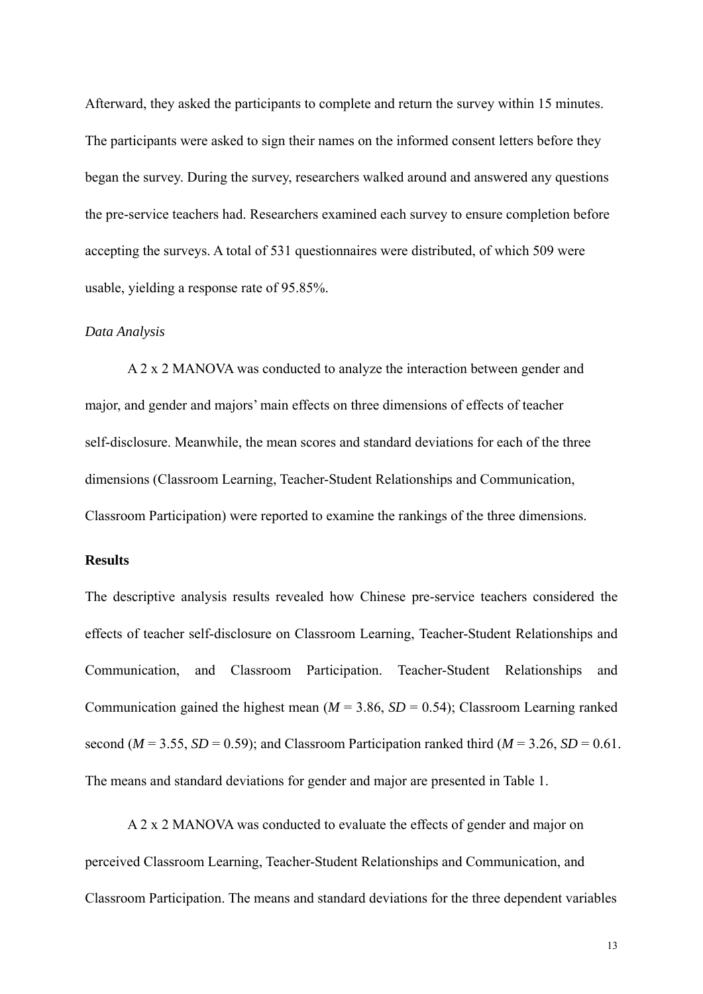Afterward, they asked the participants to complete and return the survey within 15 minutes. The participants were asked to sign their names on the informed consent letters before they began the survey. During the survey, researchers walked around and answered any questions the pre-service teachers had. Researchers examined each survey to ensure completion before accepting the surveys. A total of 531 questionnaires were distributed, of which 509 were usable, yielding a response rate of 95.85%.

### *Data Analysis*

A 2 x 2 MANOVA was conducted to analyze the interaction between gender and major, and gender and majors' main effects on three dimensions of effects of teacher self-disclosure. Meanwhile, the mean scores and standard deviations for each of the three dimensions (Classroom Learning, Teacher-Student Relationships and Communication, Classroom Participation) were reported to examine the rankings of the three dimensions.

#### **Results**

The descriptive analysis results revealed how Chinese pre-service teachers considered the effects of teacher self-disclosure on Classroom Learning, Teacher-Student Relationships and Communication, and Classroom Participation. Teacher-Student Relationships and Communication gained the highest mean  $(M = 3.86, SD = 0.54)$ ; Classroom Learning ranked second ( $M = 3.55$ ,  $SD = 0.59$ ); and Classroom Participation ranked third ( $M = 3.26$ ,  $SD = 0.61$ . The means and standard deviations for gender and major are presented in Table 1.

A 2 x 2 MANOVA was conducted to evaluate the effects of gender and major on perceived Classroom Learning, Teacher-Student Relationships and Communication, and Classroom Participation. The means and standard deviations for the three dependent variables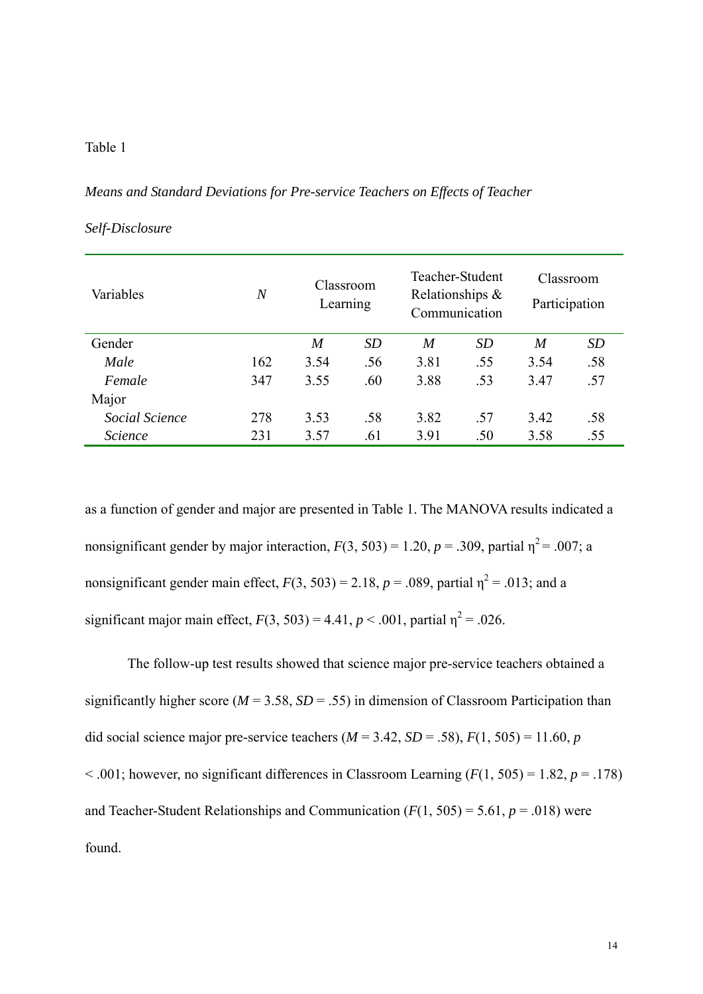# Table 1

### *Means and Standard Deviations for Pre-service Teachers on Effects of Teacher*

| Variables      | $\overline{N}$ | Classroom<br>Learning |           | Teacher-Student<br>Relationships $\&$<br>Communication |     | Classroom<br>Participation |           |
|----------------|----------------|-----------------------|-----------|--------------------------------------------------------|-----|----------------------------|-----------|
| Gender         |                | M                     | <i>SD</i> | M                                                      | SD  | M                          | <i>SD</i> |
| Male           | 162            | 3.54                  | .56       | 3.81                                                   | .55 | 3.54                       | .58       |
| Female         | 347            | 3.55                  | .60       | 3.88                                                   | .53 | 3.47                       | .57       |
| Major          |                |                       |           |                                                        |     |                            |           |
| Social Science | 278            | 3.53                  | .58       | 3.82                                                   | .57 | 3.42                       | .58       |
| Science        | 231            | 3.57                  | .61       | 3.91                                                   | .50 | 3.58                       | .55       |

# *Self-Disclosure*

as a function of gender and major are presented in Table 1. The MANOVA results indicated a nonsignificant gender by major interaction,  $F(3, 503) = 1.20$ ,  $p = .309$ , partial  $\eta^2 = .007$ ; a nonsignificant gender main effect,  $F(3, 503) = 2.18$ ,  $p = .089$ , partial  $\eta^2 = .013$ ; and a significant major main effect,  $F(3, 503) = 4.41$ ,  $p < .001$ , partial  $\eta^2 = .026$ .

The follow-up test results showed that science major pre-service teachers obtained a significantly higher score ( $M = 3.58$ ,  $SD = .55$ ) in dimension of Classroom Participation than did social science major pre-service teachers ( $M = 3.42$ ,  $SD = .58$ ),  $F(1, 505) = 11.60$ , *p*  $\leq$  .001; however, no significant differences in Classroom Learning ( $F(1, 505) = 1.82$ ,  $p = .178$ ) and Teacher-Student Relationships and Communication  $(F(1, 505) = 5.61, p = .018)$  were found.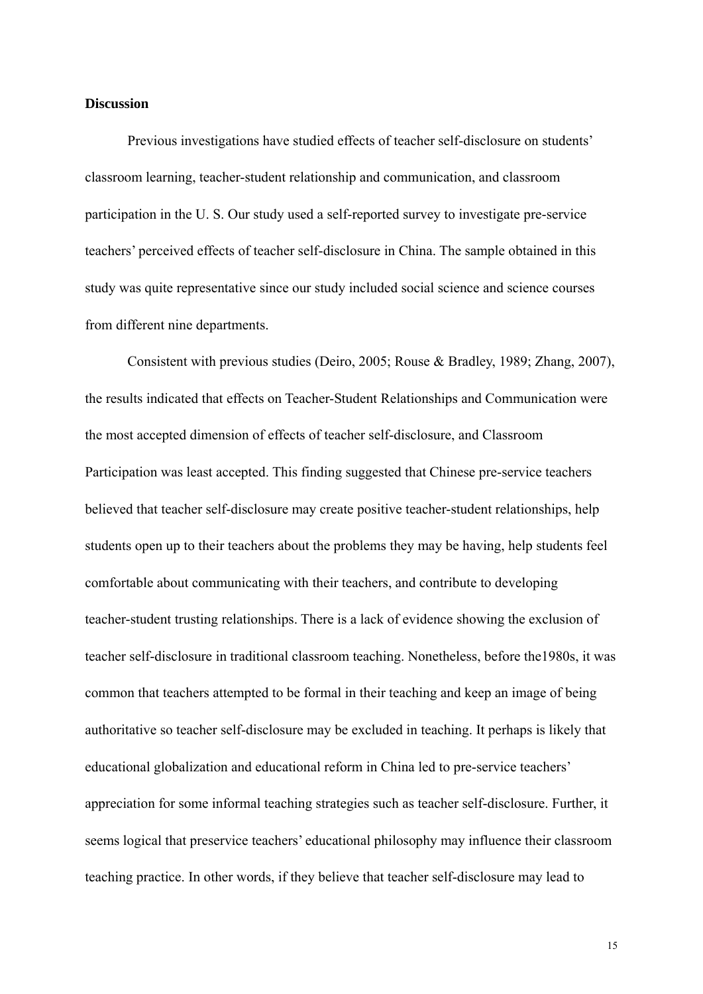### **Discussion**

Previous investigations have studied effects of teacher self-disclosure on students' classroom learning, teacher-student relationship and communication, and classroom participation in the U. S. Our study used a self-reported survey to investigate pre-service teachers' perceived effects of teacher self-disclosure in China. The sample obtained in this study was quite representative since our study included social science and science courses from different nine departments.

Consistent with previous studies (Deiro, 2005; Rouse & Bradley, 1989; Zhang, 2007), the results indicated that effects on Teacher-Student Relationships and Communication were the most accepted dimension of effects of teacher self-disclosure, and Classroom Participation was least accepted. This finding suggested that Chinese pre-service teachers believed that teacher self-disclosure may create positive teacher-student relationships, help students open up to their teachers about the problems they may be having, help students feel comfortable about communicating with their teachers, and contribute to developing teacher-student trusting relationships. There is a lack of evidence showing the exclusion of teacher self-disclosure in traditional classroom teaching. Nonetheless, before the1980s, it was common that teachers attempted to be formal in their teaching and keep an image of being authoritative so teacher self-disclosure may be excluded in teaching. It perhaps is likely that educational globalization and educational reform in China led to pre-service teachers' appreciation for some informal teaching strategies such as teacher self-disclosure. Further, it seems logical that preservice teachers' educational philosophy may influence their classroom teaching practice. In other words, if they believe that teacher self-disclosure may lead to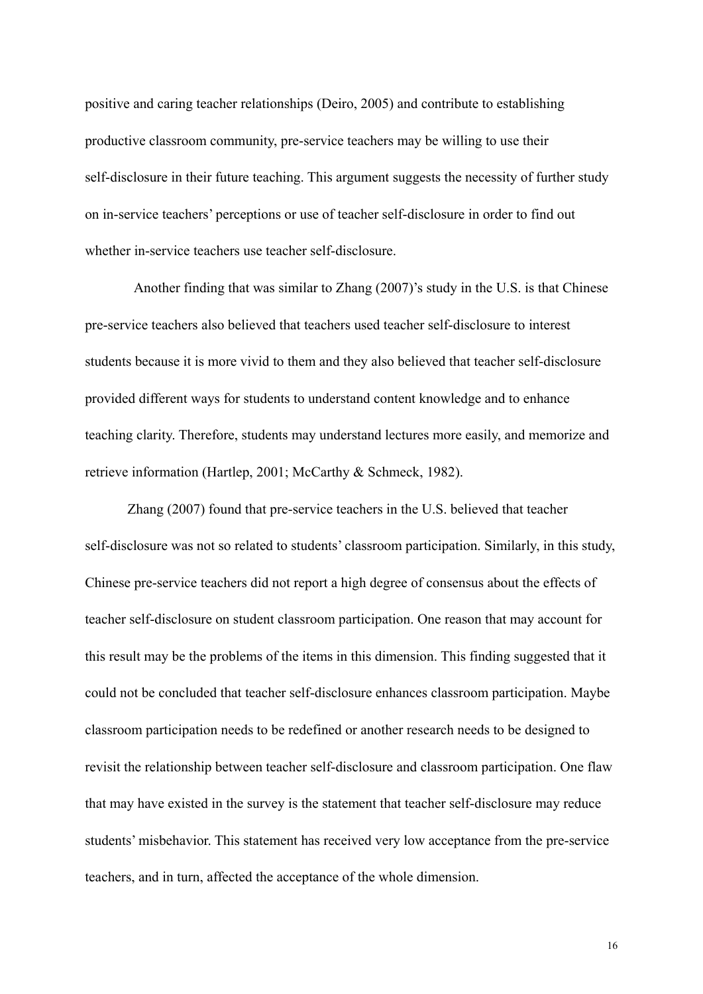positive and caring teacher relationships (Deiro, 2005) and contribute to establishing productive classroom community, pre-service teachers may be willing to use their self-disclosure in their future teaching. This argument suggests the necessity of further study on in-service teachers' perceptions or use of teacher self-disclosure in order to find out whether in-service teachers use teacher self-disclosure.

Another finding that was similar to Zhang (2007)'s study in the U.S. is that Chinese pre-service teachers also believed that teachers used teacher self-disclosure to interest students because it is more vivid to them and they also believed that teacher self-disclosure provided different ways for students to understand content knowledge and to enhance teaching clarity. Therefore, students may understand lectures more easily, and memorize and retrieve information (Hartlep, 2001; McCarthy & Schmeck, 1982).

Zhang (2007) found that pre-service teachers in the U.S. believed that teacher self-disclosure was not so related to students' classroom participation. Similarly, in this study, Chinese pre-service teachers did not report a high degree of consensus about the effects of teacher self-disclosure on student classroom participation. One reason that may account for this result may be the problems of the items in this dimension. This finding suggested that it could not be concluded that teacher self-disclosure enhances classroom participation. Maybe classroom participation needs to be redefined or another research needs to be designed to revisit the relationship between teacher self-disclosure and classroom participation. One flaw that may have existed in the survey is the statement that teacher self-disclosure may reduce students' misbehavior. This statement has received very low acceptance from the pre-service teachers, and in turn, affected the acceptance of the whole dimension.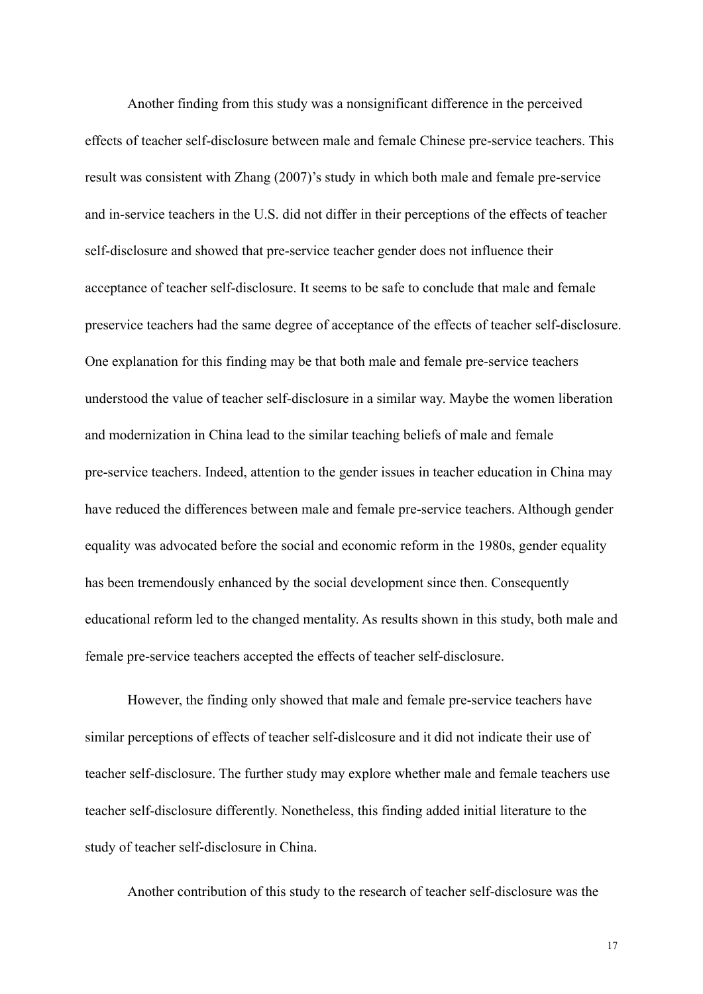Another finding from this study was a nonsignificant difference in the perceived effects of teacher self-disclosure between male and female Chinese pre-service teachers. This result was consistent with Zhang (2007)'s study in which both male and female pre-service and in-service teachers in the U.S. did not differ in their perceptions of the effects of teacher self-disclosure and showed that pre-service teacher gender does not influence their acceptance of teacher self-disclosure. It seems to be safe to conclude that male and female preservice teachers had the same degree of acceptance of the effects of teacher self-disclosure. One explanation for this finding may be that both male and female pre-service teachers understood the value of teacher self-disclosure in a similar way. Maybe the women liberation and modernization in China lead to the similar teaching beliefs of male and female pre-service teachers. Indeed, attention to the gender issues in teacher education in China may have reduced the differences between male and female pre-service teachers. Although gender equality was advocated before the social and economic reform in the 1980s, gender equality has been tremendously enhanced by the social development since then. Consequently educational reform led to the changed mentality. As results shown in this study, both male and female pre-service teachers accepted the effects of teacher self-disclosure.

However, the finding only showed that male and female pre-service teachers have similar perceptions of effects of teacher self-dislcosure and it did not indicate their use of teacher self-disclosure. The further study may explore whether male and female teachers use teacher self-disclosure differently. Nonetheless, this finding added initial literature to the study of teacher self-disclosure in China.

Another contribution of this study to the research of teacher self-disclosure was the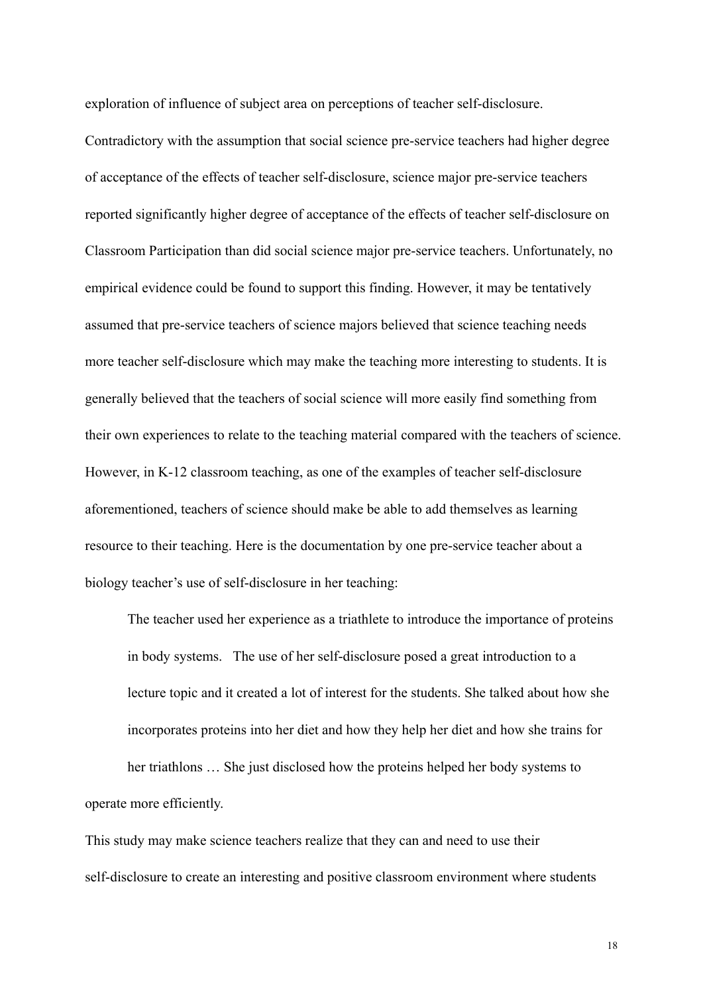exploration of influence of subject area on perceptions of teacher self-disclosure.

Contradictory with the assumption that social science pre-service teachers had higher degree of acceptance of the effects of teacher self-disclosure, science major pre-service teachers reported significantly higher degree of acceptance of the effects of teacher self-disclosure on Classroom Participation than did social science major pre-service teachers. Unfortunately, no empirical evidence could be found to support this finding. However, it may be tentatively assumed that pre-service teachers of science majors believed that science teaching needs more teacher self-disclosure which may make the teaching more interesting to students. It is generally believed that the teachers of social science will more easily find something from their own experiences to relate to the teaching material compared with the teachers of science. However, in K-12 classroom teaching, as one of the examples of teacher self-disclosure aforementioned, teachers of science should make be able to add themselves as learning resource to their teaching. Here is the documentation by one pre-service teacher about a biology teacher's use of self-disclosure in her teaching:

The teacher used her experience as a triathlete to introduce the importance of proteins in body systems. The use of her self-disclosure posed a great introduction to a lecture topic and it created a lot of interest for the students. She talked about how she incorporates proteins into her diet and how they help her diet and how she trains for

her triathlons … She just disclosed how the proteins helped her body systems to operate more efficiently.

This study may make science teachers realize that they can and need to use their self-disclosure to create an interesting and positive classroom environment where students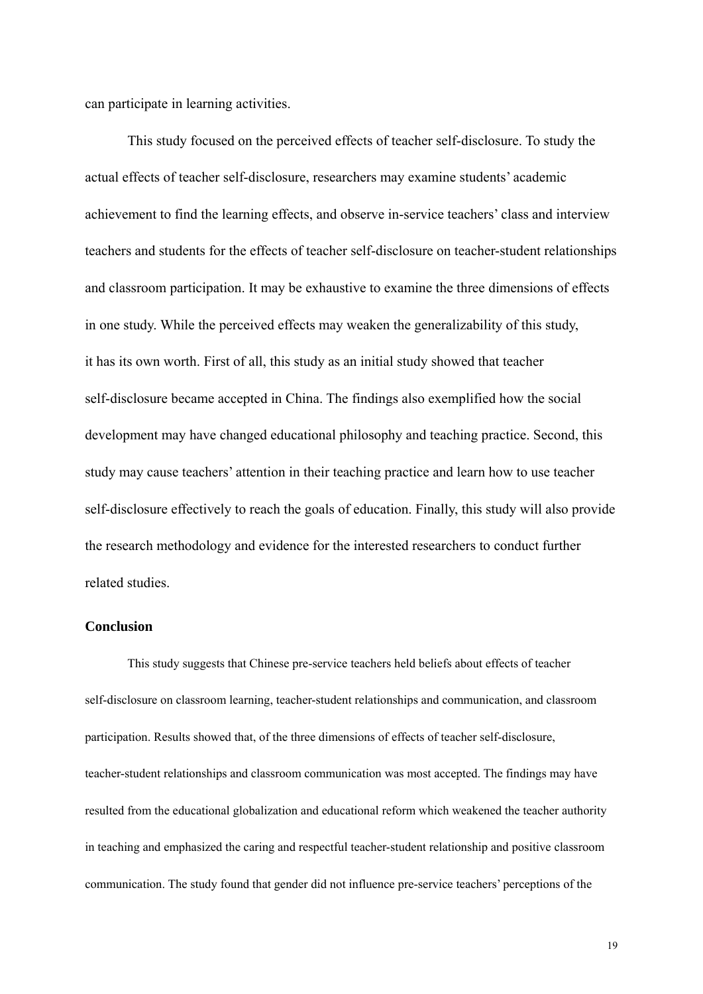can participate in learning activities.

This study focused on the perceived effects of teacher self-disclosure. To study the actual effects of teacher self-disclosure, researchers may examine students' academic achievement to find the learning effects, and observe in-service teachers' class and interview teachers and students for the effects of teacher self-disclosure on teacher-student relationships and classroom participation. It may be exhaustive to examine the three dimensions of effects in one study. While the perceived effects may weaken the generalizability of this study, it has its own worth. First of all, this study as an initial study showed that teacher self-disclosure became accepted in China. The findings also exemplified how the social development may have changed educational philosophy and teaching practice. Second, this study may cause teachers' attention in their teaching practice and learn how to use teacher self-disclosure effectively to reach the goals of education. Finally, this study will also provide the research methodology and evidence for the interested researchers to conduct further related studies.

# **Conclusion**

This study suggests that Chinese pre-service teachers held beliefs about effects of teacher self-disclosure on classroom learning, teacher-student relationships and communication, and classroom participation. Results showed that, of the three dimensions of effects of teacher self-disclosure, teacher-student relationships and classroom communication was most accepted. The findings may have resulted from the educational globalization and educational reform which weakened the teacher authority in teaching and emphasized the caring and respectful teacher-student relationship and positive classroom communication. The study found that gender did not influence pre-service teachers' perceptions of the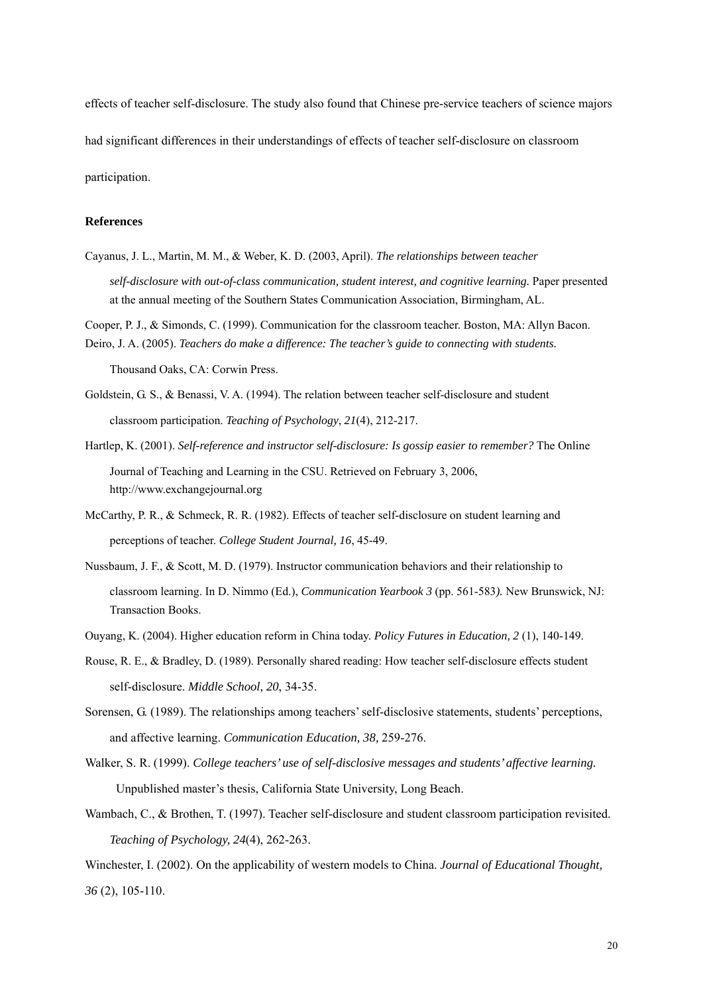effects of teacher self-disclosure. The study also found that Chinese pre-service teachers of science majors had significant differences in their understandings of effects of teacher self-disclosure on classroom participation.

#### **References**

- Cayanus, J. L., Martin, M. M., & Weber, K. D. (2003, April). *The relationships between teacher self-disclosure with out-of-class communication, student interest, and cognitive learning.* Paper presented at the annual meeting of the Southern States Communication Association, Birmingham, AL.
- Cooper, P. J., & Simonds, C. (1999). Communication for the classroom teacher. Boston, MA: Allyn Bacon. Deiro, J. A. (2005). *Teachers do make a difference: The teacher's guide to connecting with students.*

Thousand Oaks, CA: Corwin Press.

- Goldstein, G. S., & Benassi, V. A. (1994). The relation between teacher self-disclosure and student classroom participation. *Teaching of Psychology*, *21*(4), 212-217.
- Hartlep, K. (2001). *Self-reference and instructor self-disclosure: Is gossip easier to remember?* The Online Journal of Teaching and Learning in the CSU. Retrieved on February 3, 2006, [http://www.exchangejournal.org](http://www.exchangejournal.org/)
- McCarthy, P. R., & Schmeck, R. R. (1982). Effects of teacher self-disclosure on student learning and perceptions of teacher. *College Student Journal, 16*, 45-49.
- Nussbaum, J. F., & Scott, M. D. (1979). Instructor communication behaviors and their relationship to classroom learning. In D. Nimmo (Ed.), *Communication Yearbook 3* (pp. 561-583*).* New Brunswick, NJ: Transaction Books.
- Ouyang, K. (2004). Higher education reform in China today. *Policy Futures in Education, 2* (1), 140-149.
- Rouse, R. E., & Bradley, D. (1989). Personally shared reading: How teacher self-disclosure effects student self-disclosure. *Middle School, 20*, 34-35.
- Sorensen, G. (1989). The relationships among teachers' self-disclosive statements, students' perceptions, and affective learning. *Communication Education, 38,* 259-276.
- Walker, S. R. (1999). *College teachers' use of self-disclosive messages and students' affective learning.*  Unpublished master's thesis, California State University, Long Beach.
- Wambach, C., & Brothen, T. (1997). Teacher self-disclosure and student classroom participation revisited. *Teaching of Psychology, 24*(4), 262-263.

Winchester, I. (2002). On the applicability of western models to China. *Journal of Educational Thought*, *36* (2), 105-110.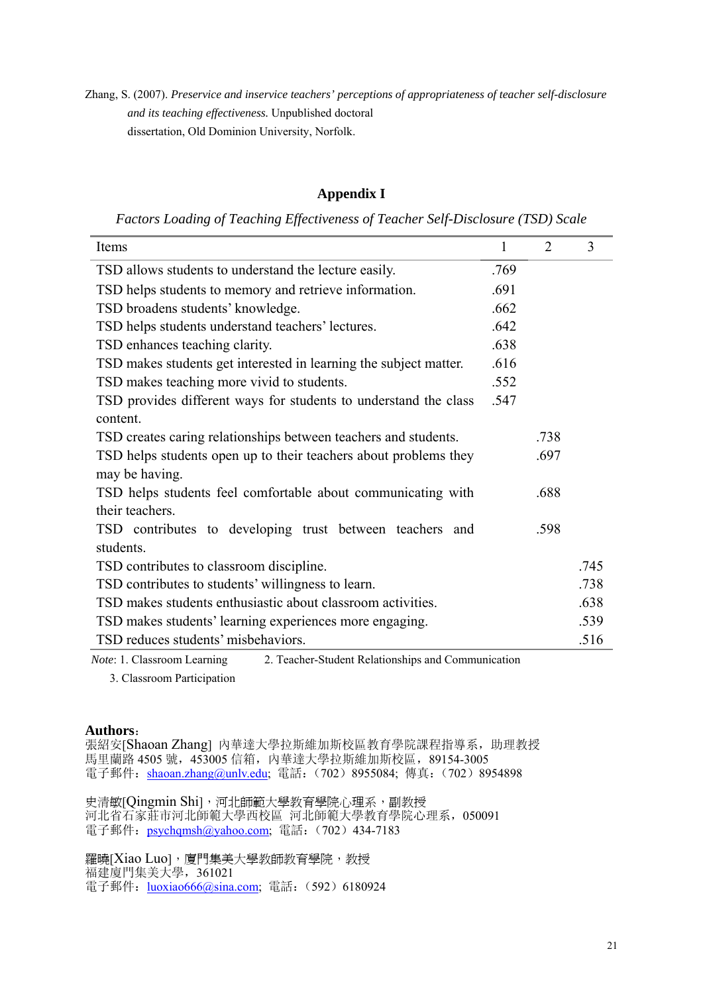Zhang, S. (2007). *Preservice and inservice teachers' perceptions of appropriateness of teacher self-disclosure and its teaching effectiveness.* Unpublished doctoral dissertation, Old Dominion University, Norfolk.

# **Appendix I**

*Factors Loading of Teaching Effectiveness of Teacher Self-Disclosure (TSD) Scale* 

| TSD allows students to understand the lecture easily.<br>.769<br>TSD helps students to memory and retrieve information.<br>.691<br>TSD broadens students' knowledge.<br>.662<br>TSD helps students understand teachers' lectures.<br>.642<br>TSD enhances teaching clarity.<br>.638<br>TSD makes students get interested in learning the subject matter.<br>.616<br>TSD makes teaching more vivid to students.<br>.552<br>TSD provides different ways for students to understand the class<br>.547<br>content.<br>TSD creates caring relationships between teachers and students.<br>.738<br>TSD helps students open up to their teachers about problems they<br>.697<br>may be having.<br>TSD helps students feel comfortable about communicating with<br>.688<br>their teachers.<br>TSD contributes to developing trust between teachers and<br>.598<br>students. | Items                                    | 1 | $\overline{2}$ | 3    |
|---------------------------------------------------------------------------------------------------------------------------------------------------------------------------------------------------------------------------------------------------------------------------------------------------------------------------------------------------------------------------------------------------------------------------------------------------------------------------------------------------------------------------------------------------------------------------------------------------------------------------------------------------------------------------------------------------------------------------------------------------------------------------------------------------------------------------------------------------------------------|------------------------------------------|---|----------------|------|
|                                                                                                                                                                                                                                                                                                                                                                                                                                                                                                                                                                                                                                                                                                                                                                                                                                                                     |                                          |   |                |      |
|                                                                                                                                                                                                                                                                                                                                                                                                                                                                                                                                                                                                                                                                                                                                                                                                                                                                     |                                          |   |                |      |
|                                                                                                                                                                                                                                                                                                                                                                                                                                                                                                                                                                                                                                                                                                                                                                                                                                                                     |                                          |   |                |      |
|                                                                                                                                                                                                                                                                                                                                                                                                                                                                                                                                                                                                                                                                                                                                                                                                                                                                     |                                          |   |                |      |
|                                                                                                                                                                                                                                                                                                                                                                                                                                                                                                                                                                                                                                                                                                                                                                                                                                                                     |                                          |   |                |      |
|                                                                                                                                                                                                                                                                                                                                                                                                                                                                                                                                                                                                                                                                                                                                                                                                                                                                     |                                          |   |                |      |
|                                                                                                                                                                                                                                                                                                                                                                                                                                                                                                                                                                                                                                                                                                                                                                                                                                                                     |                                          |   |                |      |
|                                                                                                                                                                                                                                                                                                                                                                                                                                                                                                                                                                                                                                                                                                                                                                                                                                                                     |                                          |   |                |      |
|                                                                                                                                                                                                                                                                                                                                                                                                                                                                                                                                                                                                                                                                                                                                                                                                                                                                     |                                          |   |                |      |
|                                                                                                                                                                                                                                                                                                                                                                                                                                                                                                                                                                                                                                                                                                                                                                                                                                                                     |                                          |   |                |      |
|                                                                                                                                                                                                                                                                                                                                                                                                                                                                                                                                                                                                                                                                                                                                                                                                                                                                     |                                          |   |                |      |
|                                                                                                                                                                                                                                                                                                                                                                                                                                                                                                                                                                                                                                                                                                                                                                                                                                                                     |                                          |   |                |      |
|                                                                                                                                                                                                                                                                                                                                                                                                                                                                                                                                                                                                                                                                                                                                                                                                                                                                     |                                          |   |                |      |
|                                                                                                                                                                                                                                                                                                                                                                                                                                                                                                                                                                                                                                                                                                                                                                                                                                                                     |                                          |   |                |      |
|                                                                                                                                                                                                                                                                                                                                                                                                                                                                                                                                                                                                                                                                                                                                                                                                                                                                     |                                          |   |                |      |
|                                                                                                                                                                                                                                                                                                                                                                                                                                                                                                                                                                                                                                                                                                                                                                                                                                                                     |                                          |   |                |      |
|                                                                                                                                                                                                                                                                                                                                                                                                                                                                                                                                                                                                                                                                                                                                                                                                                                                                     | TSD contributes to classroom discipline. |   |                | .745 |
| TSD contributes to students' willingness to learn.<br>.738                                                                                                                                                                                                                                                                                                                                                                                                                                                                                                                                                                                                                                                                                                                                                                                                          |                                          |   |                |      |
| TSD makes students enthusiastic about classroom activities.<br>.638                                                                                                                                                                                                                                                                                                                                                                                                                                                                                                                                                                                                                                                                                                                                                                                                 |                                          |   |                |      |
| .539<br>TSD makes students' learning experiences more engaging.                                                                                                                                                                                                                                                                                                                                                                                                                                                                                                                                                                                                                                                                                                                                                                                                     |                                          |   |                |      |
| TSD reduces students' misbehaviors.<br>.516                                                                                                                                                                                                                                                                                                                                                                                                                                                                                                                                                                                                                                                                                                                                                                                                                         |                                          |   |                |      |

*Note*: 1. Classroom Learning 2. Teacher-Student Relationships and Communication

3. Classroom Participation

#### **Authors**:

張紹安[Shaoan Zhang] 內華達大學拉斯維加斯校區教育學院課程指導系, 助理教授 馬里蘭路 4505號, 453005 信箱, 內華達大學拉斯維加斯校區, 89154-3005 電子郵件: [shaoan.zhang@unlv.edu;](mailto:shaoan.zhang@unlv.edu) 電話: (702) 8955084; 傳真: (702) 8954898

史清敏[Qingmin Shi], 河北師範大學教育學院心理系, 副教授 河北省石家莊市河北師範大學西校區 河北師範大學教育學院心理系,050091 電子郵件: [psychqmsh@yahoo.com;](mailto:shaoan.zhang@unlv.edu) 電話: (702) 434-7183

羅曉[Xiao Luo], 廈門集美大學教師教育學院, 教授 福建廈門集美大學,361021 電子郵件: [luoxiao666@sina.com](mailto:luoxiao666@sina.com); 電話: (592) 6180924